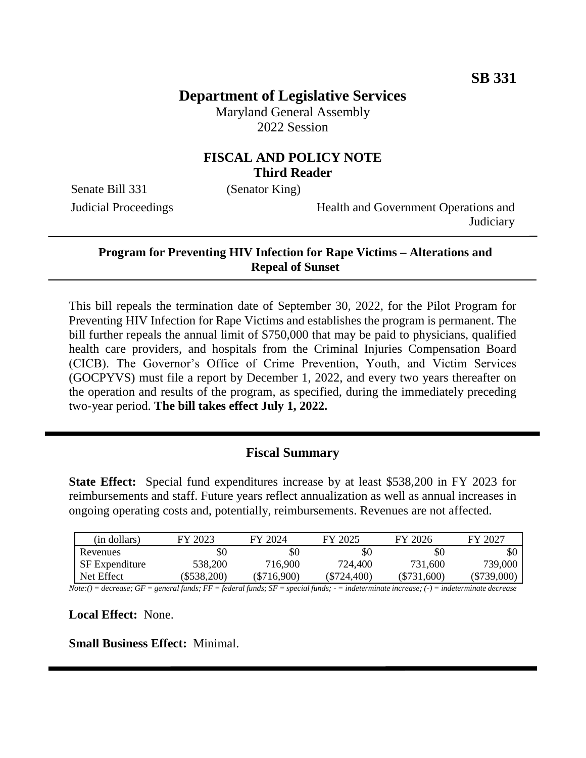# **Department of Legislative Services**

Maryland General Assembly 2022 Session

## **FISCAL AND POLICY NOTE Third Reader**

Senate Bill 331 (Senator King)

Judicial Proceedings Health and Government Operations and **Judiciary** 

#### **Program for Preventing HIV Infection for Rape Victims – Alterations and Repeal of Sunset**

This bill repeals the termination date of September 30, 2022, for the Pilot Program for Preventing HIV Infection for Rape Victims and establishes the program is permanent. The bill further repeals the annual limit of \$750,000 that may be paid to physicians, qualified health care providers, and hospitals from the Criminal Injuries Compensation Board (CICB). The Governor's Office of Crime Prevention, Youth, and Victim Services (GOCPYVS) must file a report by December 1, 2022, and every two years thereafter on the operation and results of the program, as specified, during the immediately preceding two-year period. **The bill takes effect July 1, 2022.**

### **Fiscal Summary**

**State Effect:** Special fund expenditures increase by at least \$538,200 in FY 2023 for reimbursements and staff. Future years reflect annualization as well as annual increases in ongoing operating costs and, potentially, reimbursements. Revenues are not affected.

| (in dollars)          | FY 2023    | FY 2024       | FY 2025     | FY 2026       | FY 2027     |
|-----------------------|------------|---------------|-------------|---------------|-------------|
| Revenues              |            | \$0           | \$0         | \$0           | \$0         |
| <b>SF</b> Expenditure | 538,200    | 716,900       | 724,400     | 731,600       | 739,000     |
| Net Effect            | \$538,200) | $(\$716,900)$ | (\$724.400) | $(\$731,600)$ | (\$739.000) |

*Note:() = decrease; GF = general funds; FF = federal funds; SF = special funds; - = indeterminate increase; (-) = indeterminate decrease*

**Local Effect:** None.

**Small Business Effect:** Minimal.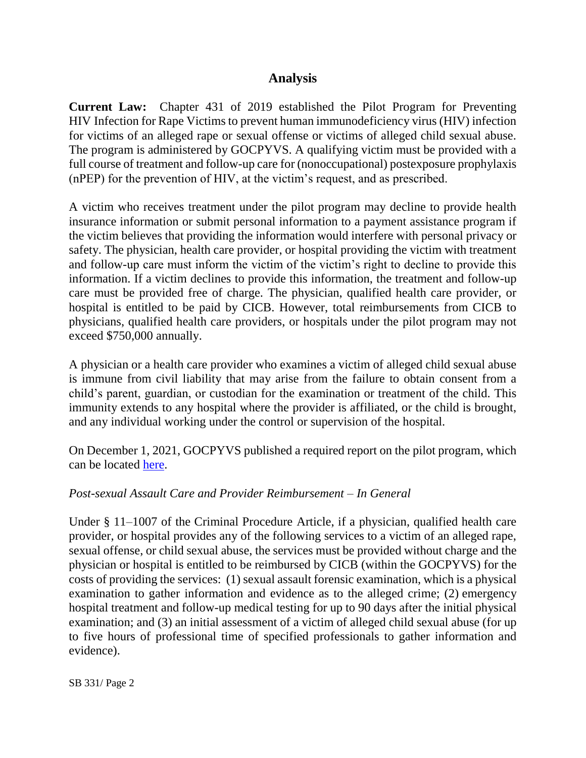## **Analysis**

**Current Law:** Chapter 431 of 2019 established the Pilot Program for Preventing HIV Infection for Rape Victims to prevent human immunodeficiency virus (HIV) infection for victims of an alleged rape or sexual offense or victims of alleged child sexual abuse. The program is administered by GOCPYVS. A qualifying victim must be provided with a full course of treatment and follow-up care for (nonoccupational) postexposure prophylaxis (nPEP) for the prevention of HIV, at the victim's request, and as prescribed.

A victim who receives treatment under the pilot program may decline to provide health insurance information or submit personal information to a payment assistance program if the victim believes that providing the information would interfere with personal privacy or safety. The physician, health care provider, or hospital providing the victim with treatment and follow-up care must inform the victim of the victim's right to decline to provide this information. If a victim declines to provide this information, the treatment and follow-up care must be provided free of charge. The physician, qualified health care provider, or hospital is entitled to be paid by CICB. However, total reimbursements from CICB to physicians, qualified health care providers, or hospitals under the pilot program may not exceed \$750,000 annually.

A physician or a health care provider who examines a victim of alleged child sexual abuse is immune from civil liability that may arise from the failure to obtain consent from a child's parent, guardian, or custodian for the examination or treatment of the child. This immunity extends to any hospital where the provider is affiliated, or the child is brought, and any individual working under the control or supervision of the hospital.

On December 1, 2021, GOCPYVS published a required report on the pilot program, which can be located [here.](http://dlslibrary.state.md.us/publications/Exec/GOCPYVS/CP11-1008(e)_2021.pdf)

### *Post-sexual Assault Care and Provider Reimbursement – In General*

Under § 11–1007 of the Criminal Procedure Article, if a physician, qualified health care provider, or hospital provides any of the following services to a victim of an alleged rape, sexual offense, or child sexual abuse, the services must be provided without charge and the physician or hospital is entitled to be reimbursed by CICB (within the GOCPYVS) for the costs of providing the services: (1) sexual assault forensic examination, which is a physical examination to gather information and evidence as to the alleged crime; (2) emergency hospital treatment and follow-up medical testing for up to 90 days after the initial physical examination; and (3) an initial assessment of a victim of alleged child sexual abuse (for up to five hours of professional time of specified professionals to gather information and evidence).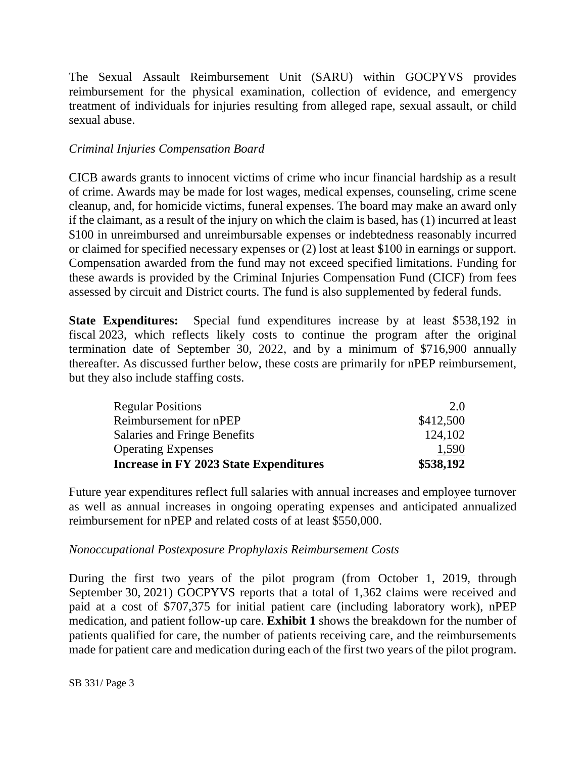The Sexual Assault Reimbursement Unit (SARU) within GOCPYVS provides reimbursement for the physical examination, collection of evidence, and emergency treatment of individuals for injuries resulting from alleged rape, sexual assault, or child sexual abuse.

#### *Criminal Injuries Compensation Board*

CICB awards grants to innocent victims of crime who incur financial hardship as a result of crime. Awards may be made for lost wages, medical expenses, counseling, crime scene cleanup, and, for homicide victims, funeral expenses. The board may make an award only if the claimant, as a result of the injury on which the claim is based, has (1) incurred at least \$100 in unreimbursed and unreimbursable expenses or indebtedness reasonably incurred or claimed for specified necessary expenses or (2) lost at least \$100 in earnings or support. Compensation awarded from the fund may not exceed specified limitations. Funding for these awards is provided by the Criminal Injuries Compensation Fund (CICF) from fees assessed by circuit and District courts. The fund is also supplemented by federal funds.

**State Expenditures:** Special fund expenditures increase by at least \$538,192 in fiscal 2023, which reflects likely costs to continue the program after the original termination date of September 30, 2022, and by a minimum of \$716,900 annually thereafter. As discussed further below, these costs are primarily for nPEP reimbursement, but they also include staffing costs.

| Increase in FY 2023 State Expenditures | \$538,192 |
|----------------------------------------|-----------|
| <b>Operating Expenses</b>              | 1,590     |
| Salaries and Fringe Benefits           | 124,102   |
| Reimbursement for nPEP                 | \$412,500 |
| <b>Regular Positions</b>               | 2.0       |

Future year expenditures reflect full salaries with annual increases and employee turnover as well as annual increases in ongoing operating expenses and anticipated annualized reimbursement for nPEP and related costs of at least \$550,000.

#### *Nonoccupational Postexposure Prophylaxis Reimbursement Costs*

During the first two years of the pilot program (from October 1, 2019, through September 30, 2021) GOCPYVS reports that a total of 1,362 claims were received and paid at a cost of \$707,375 for initial patient care (including laboratory work), nPEP medication, and patient follow-up care. **Exhibit 1** shows the breakdown for the number of patients qualified for care, the number of patients receiving care, and the reimbursements made for patient care and medication during each of the first two years of the pilot program.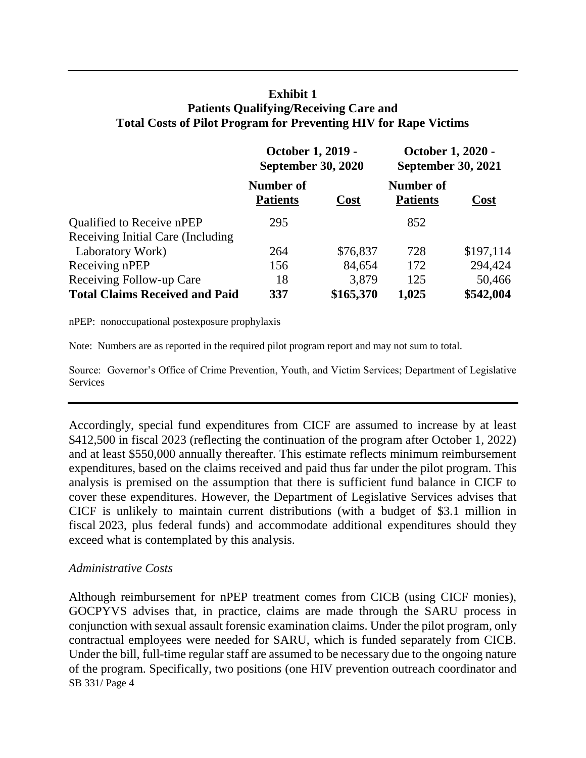## **Exhibit 1 Patients Qualifying/Receiving Care and Total Costs of Pilot Program for Preventing HIV for Rape Victims**

|                                       | October 1, 2019 -<br><b>September 30, 2020</b> |             | October 1, 2020 -<br><b>September 30, 2021</b> |           |
|---------------------------------------|------------------------------------------------|-------------|------------------------------------------------|-----------|
|                                       | Number of<br><b>Patients</b>                   | <b>Cost</b> | Number of<br><b>Patients</b>                   | Cost      |
| Qualified to Receive nPEP             | 295                                            |             | 852                                            |           |
| Receiving Initial Care (Including     |                                                |             |                                                |           |
| Laboratory Work)                      | 264                                            | \$76,837    | 728                                            | \$197,114 |
| Receiving nPEP                        | 156                                            | 84,654      | 172                                            | 294,424   |
| Receiving Follow-up Care              | 18                                             | 3,879       | 125                                            | 50,466    |
| <b>Total Claims Received and Paid</b> | 337                                            | \$165,370   | 1,025                                          | \$542,004 |

nPEP: nonoccupational postexposure prophylaxis

Note: Numbers are as reported in the required pilot program report and may not sum to total.

Source: Governor's Office of Crime Prevention, Youth, and Victim Services; Department of Legislative **Services** 

Accordingly, special fund expenditures from CICF are assumed to increase by at least \$412,500 in fiscal 2023 (reflecting the continuation of the program after October 1, 2022) and at least \$550,000 annually thereafter. This estimate reflects minimum reimbursement expenditures, based on the claims received and paid thus far under the pilot program. This analysis is premised on the assumption that there is sufficient fund balance in CICF to cover these expenditures. However, the Department of Legislative Services advises that CICF is unlikely to maintain current distributions (with a budget of \$3.1 million in fiscal 2023, plus federal funds) and accommodate additional expenditures should they exceed what is contemplated by this analysis.

### *Administrative Costs*

SB 331/ Page 4 Although reimbursement for nPEP treatment comes from CICB (using CICF monies), GOCPYVS advises that, in practice, claims are made through the SARU process in conjunction with sexual assault forensic examination claims. Under the pilot program, only contractual employees were needed for SARU, which is funded separately from CICB. Under the bill, full-time regular staff are assumed to be necessary due to the ongoing nature of the program. Specifically, two positions (one HIV prevention outreach coordinator and